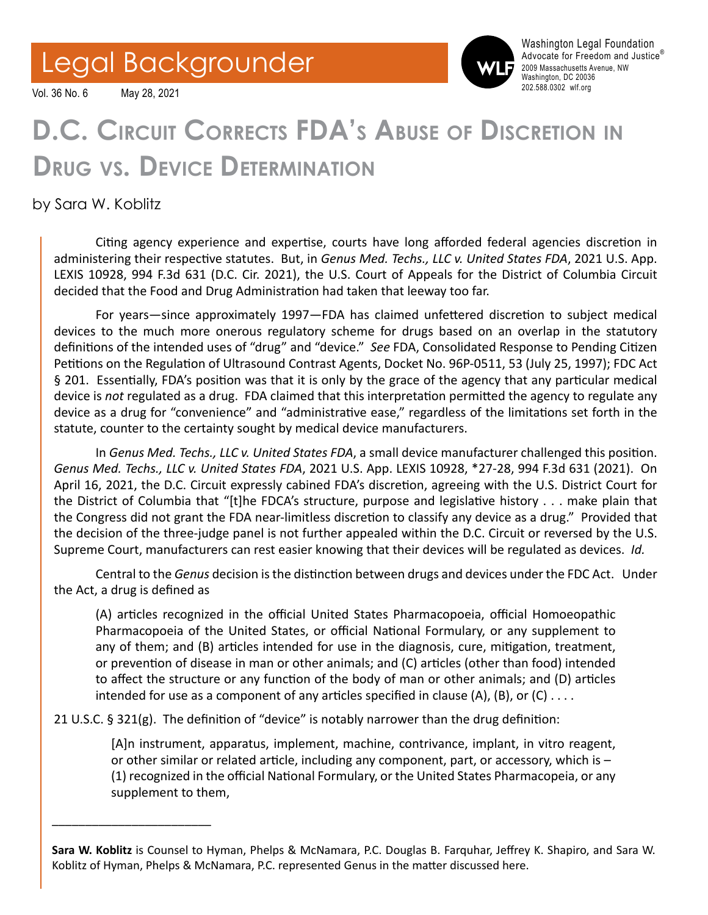## Legal Backgrounder

202.588.0302 wlf.org Vol. 36 No. 6 May 28, 2021



Washington Legal Foundation Advocate for Freedom and Justice® 2009 Massachusetts Avenue, NW Washington, DC 20036<br>202.588.0302 wlf.org

## **D.C. Circuit Corrects FDA's Abuse of Discretion in Drug vs. Device Determination**

by Sara W. Koblitz

\_\_\_\_\_\_\_\_\_\_\_\_\_\_\_\_\_\_\_\_\_\_\_\_

Citing agency experience and expertise, courts have long afforded federal agencies discretion in administering their respective statutes. But, in *Genus Med. Techs., LLC v. United States FDA*, 2021 U.S. App. LEXIS 10928, 994 F.3d 631 (D.C. Cir. 2021), the U.S. Court of Appeals for the District of Columbia Circuit decided that the Food and Drug Administration had taken that leeway too far.

For years—since approximately 1997—FDA has claimed unfettered discretion to subject medical devices to the much more onerous regulatory scheme for drugs based on an overlap in the statutory definitions of the intended uses of "drug" and "device." *See* FDA, Consolidated Response to Pending Citizen Petitions on the Regulation of Ultrasound Contrast Agents, Docket No. 96P-0511, 53 (July 25, 1997); FDC Act § 201. Essentially, FDA's position was that it is only by the grace of the agency that any particular medical device is *not* regulated as a drug. FDA claimed that this interpretation permitted the agency to regulate any device as a drug for "convenience" and "administrative ease," regardless of the limitations set forth in the statute, counter to the certainty sought by medical device manufacturers.

In *Genus Med. Techs., LLC v. United States FDA*, a small device manufacturer challenged this position. *Genus Med. Techs., LLC v. United States FDA*, 2021 U.S. App. LEXIS 10928, \*27-28, 994 F.3d 631 (2021). On April 16, 2021, the D.C. Circuit expressly cabined FDA's discretion, agreeing with the U.S. District Court for the District of Columbia that "[t]he FDCA's structure, purpose and legislative history . . . make plain that the Congress did not grant the FDA near-limitless discretion to classify any device as a drug." Provided that the decision of the three-judge panel is not further appealed within the D.C. Circuit or reversed by the U.S. Supreme Court, manufacturers can rest easier knowing that their devices will be regulated as devices. *Id.*

Central to the *Genus* decision is the distinction between drugs and devices under the FDC Act. Under the Act, a drug is defined as

(A) articles recognized in the official United States Pharmacopoeia, official Homoeopathic Pharmacopoeia of the United States, or official National Formulary, or any supplement to any of them; and (B) articles intended for use in the diagnosis, cure, mitigation, treatment, or prevention of disease in man or other animals; and (C) articles (other than food) intended to affect the structure or any function of the body of man or other animals; and (D) articles intended for use as a component of any articles specified in clause (A), (B), or (C)  $\dots$ .

21 U.S.C. § 321(g). The definition of "device" is notably narrower than the drug definition:

[A]n instrument, apparatus, implement, machine, contrivance, implant, in vitro reagent, or other similar or related article, including any component, part, or accessory, which is – (1) recognized in the official National Formulary, or the United States Pharmacopeia, or any supplement to them,

**Sara W. Koblitz** is Counsel to Hyman, Phelps & McNamara, P.C. Douglas B. Farquhar, Jeffrey K. Shapiro, and Sara W. Koblitz of Hyman, Phelps & McNamara, P.C. represented Genus in the matter discussed here.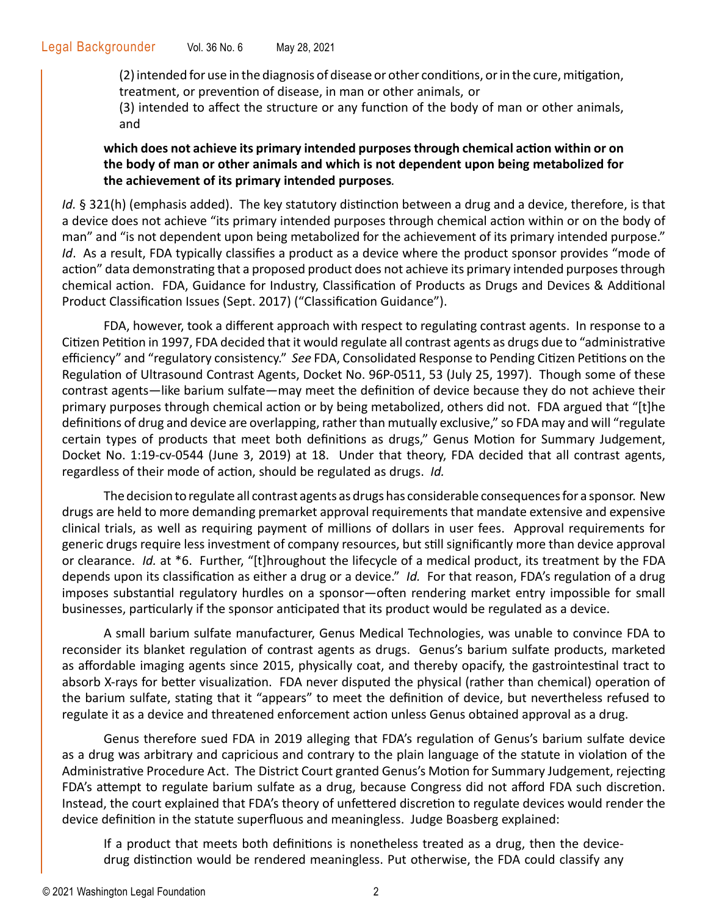(2) intended for use in the diagnosis of disease or other conditions, or in the cure, mitigation, treatment, or prevention of disease, in man or other animals, or

(3) intended to affect the structure or any function of the body of man or other animals, and

## **which does not achieve its primary intended purposes through chemical action within or on the body of man or other animals and which is not dependent upon being metabolized for the achievement of its primary intended purposes***.*

Id. § 321(h) (emphasis added). The key statutory distinction between a drug and a device, therefore, is that a device does not achieve "its primary intended purposes through chemical action within or on the body of man" and "is not dependent upon being metabolized for the achievement of its primary intended purpose." *Id*. As a result, FDA typically classifies a product as a device where the product sponsor provides "mode of action" data demonstrating that a proposed product does not achieve its primary intended purposes through chemical action. FDA, Guidance for Industry, Classification of Products as Drugs and Devices & Additional Product Classification Issues (Sept. 2017) ("Classification Guidance").

FDA, however, took a different approach with respect to regulating contrast agents. In response to a Citizen Petition in 1997, FDA decided that it would regulate all contrast agents as drugs due to "administrative efficiency" and "regulatory consistency." *See* FDA, Consolidated Response to Pending Citizen Petitions on the Regulation of Ultrasound Contrast Agents, Docket No. 96P-0511, 53 (July 25, 1997). Though some of these contrast agents—like barium sulfate—may meet the definition of device because they do not achieve their primary purposes through chemical action or by being metabolized, others did not. FDA argued that "[t]he definitions of drug and device are overlapping, rather than mutually exclusive," so FDA may and will "regulate certain types of products that meet both definitions as drugs," Genus Motion for Summary Judgement, Docket No. 1:19-cv-0544 (June 3, 2019) at 18. Under that theory, FDA decided that all contrast agents, regardless of their mode of action, should be regulated as drugs. *Id.* 

The decision to regulate all contrast agents as drugs has considerable consequences for a sponsor. New drugs are held to more demanding premarket approval requirements that mandate extensive and expensive clinical trials, as well as requiring payment of millions of dollars in user fees. Approval requirements for generic drugs require less investment of company resources, but still significantly more than device approval or clearance. *Id.* at \*6. Further, "[t]hroughout the lifecycle of a medical product, its treatment by the FDA depends upon its classification as either a drug or a device." *Id.* For that reason, FDA's regulation of a drug imposes substantial regulatory hurdles on a sponsor—often rendering market entry impossible for small businesses, particularly if the sponsor anticipated that its product would be regulated as a device.

A small barium sulfate manufacturer, Genus Medical Technologies, was unable to convince FDA to reconsider its blanket regulation of contrast agents as drugs.Genus's barium sulfate products, marketed as affordable imaging agents since 2015, physically coat, and thereby opacify, the gastrointestinal tract to absorb X-rays for better visualization. FDA never disputed the physical (rather than chemical) operation of the barium sulfate, stating that it "appears" to meet the definition of device, but nevertheless refused to regulate it as a device and threatened enforcement action unless Genus obtained approval as a drug.

Genus therefore sued FDA in 2019 alleging that FDA's regulation of Genus's barium sulfate device as a drug was arbitrary and capricious and contrary to the plain language of the statute in violation of the Administrative Procedure Act. The District Court granted Genus's Motion for Summary Judgement, rejecting FDA's attempt to regulate barium sulfate as a drug, because Congress did not afford FDA such discretion. Instead, the court explained that FDA's theory of unfettered discretion to regulate devices would render the device definition in the statute superfluous and meaningless. Judge Boasberg explained:

If a product that meets both definitions is nonetheless treated as a drug, then the devicedrug distinction would be rendered meaningless. Put otherwise, the FDA could classify any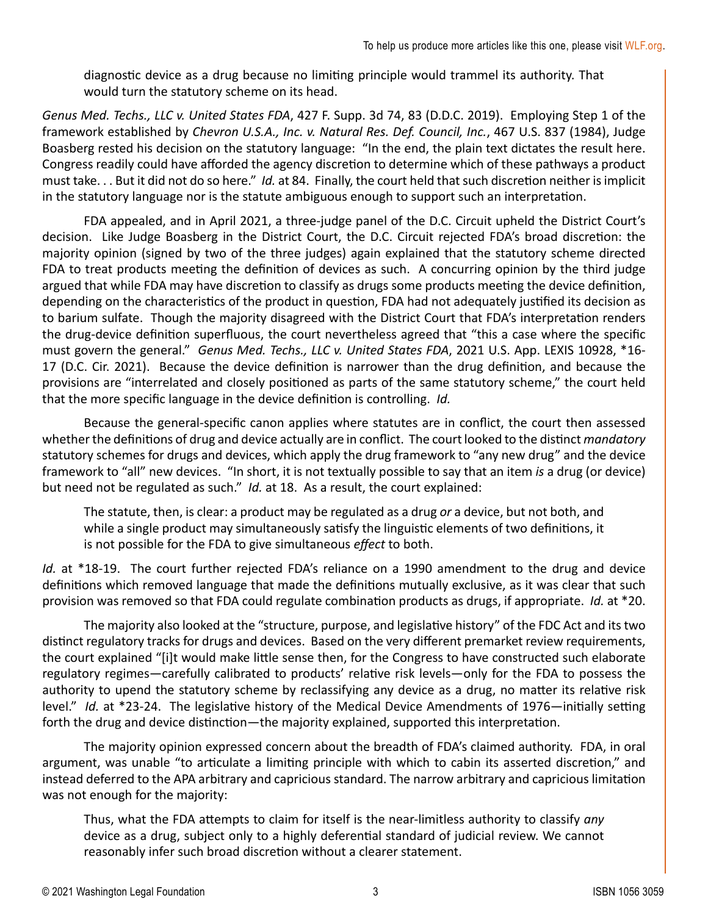diagnostic device as a drug because no limiting principle would trammel its authority. That would turn the statutory scheme on its head.

*Genus Med. Techs., LLC v. United States FDA*, 427 F. Supp. 3d 74, 83 (D.D.C. 2019). Employing Step 1 of the framework established by *Chevron U.S.A., Inc. v. Natural Res. Def. Council, Inc.*, 467 U.S. 837 (1984), Judge Boasberg rested his decision on the statutory language: "In the end, the plain text dictates the result here. Congress readily could have afforded the agency discretion to determine which of these pathways a product must take. . . But it did not do so here." *Id.* at 84. Finally, the court held that such discretion neither is implicit in the statutory language nor is the statute ambiguous enough to support such an interpretation.

FDA appealed, and in April 2021, a three-judge panel of the D.C. Circuit upheld the District Court's decision. Like Judge Boasberg in the District Court, the D.C. Circuit rejected FDA's broad discretion: the majority opinion (signed by two of the three judges) again explained that the statutory scheme directed FDA to treat products meeting the definition of devices as such. A concurring opinion by the third judge argued that while FDA may have discretion to classify as drugs some products meeting the device definition, depending on the characteristics of the product in question, FDA had not adequately justified its decision as to barium sulfate. Though the majority disagreed with the District Court that FDA's interpretation renders the drug-device definition superfluous, the court nevertheless agreed that "this a case where the specific must govern the general." *Genus Med. Techs., LLC v. United States FDA*, 2021 U.S. App. LEXIS 10928, \*16- 17 (D.C. Cir. 2021). Because the device definition is narrower than the drug definition, and because the provisions are "interrelated and closely positioned as parts of the same statutory scheme," the court held that the more specific language in the device definition is controlling. *Id.*

Because the general-specific canon applies where statutes are in conflict, the court then assessed whether the definitions of drug and device actually are in conflict. The court looked to the distinct *mandatory*  statutory schemes for drugs and devices, which apply the drug framework to "any new drug" and the device framework to "all" new devices. "In short, it is not textually possible to say that an item *is* a drug (or device) but need not be regulated as such." *Id.* at 18. As a result, the court explained:

The statute, then, is clear: a product may be regulated as a drug *or* a device, but not both, and while a single product may simultaneously satisfy the linguistic elements of two definitions, it is not possible for the FDA to give simultaneous *effect* to both.

*Id.* at \*18-19. The court further rejected FDA's reliance on a 1990 amendment to the drug and device definitions which removed language that made the definitions mutually exclusive, as it was clear that such provision was removed so that FDA could regulate combination products as drugs, if appropriate. *Id.* at \*20.

The majority also looked at the "structure, purpose, and legislative history" of the FDC Act and its two distinct regulatory tracks for drugs and devices. Based on the very different premarket review requirements, the court explained "[i]t would make little sense then, for the Congress to have constructed such elaborate regulatory regimes—carefully calibrated to products' relative risk levels—only for the FDA to possess the authority to upend the statutory scheme by reclassifying any device as a drug, no matter its relative risk level." *Id.* at \*23-24. The legislative history of the Medical Device Amendments of 1976—initially setting forth the drug and device distinction—the majority explained, supported this interpretation.

The majority opinion expressed concern about the breadth of FDA's claimed authority. FDA, in oral argument, was unable "to articulate a limiting principle with which to cabin its asserted discretion," and instead deferred to the APA arbitrary and capricious standard. The narrow arbitrary and capricious limitation was not enough for the majority:

Thus, what the FDA attempts to claim for itself is the near-limitless authority to classify *any* device as a drug, subject only to a highly deferential standard of judicial review. We cannot reasonably infer such broad discretion without a clearer statement.